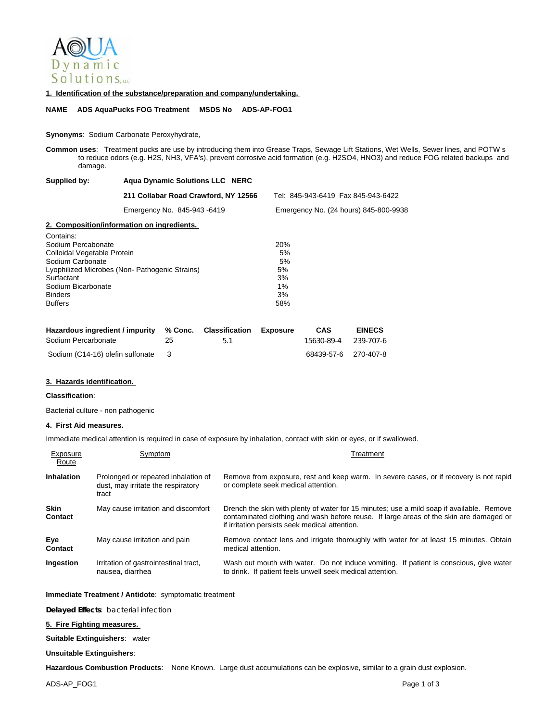

### **1. Identification of the substance/preparation and company/undertaking.**

**NAME ADS AquaPucks FOG Treatment MSDS No ADS-AP-FOG1**

### **Synonyms**: Sodium Carbonate Peroxyhydrate,

**Common uses**: Treatment pucks are use by introducing them into Grease Traps, Sewage Lift Stations, Wet Wells, Sewer lines, and POTW s to reduce odors (e.g. H2S, NH3, VFA's), prevent corrosive acid formation (e.g. H2SO4, HNO3) and reduce FOG related backups and damage.

| Supplied by: | <b>Agua Dynamic Solutions LLC NERC</b> |                                       |  |  |
|--------------|----------------------------------------|---------------------------------------|--|--|
|              | 211 Collabar Road Crawford, NY 12566   | Tel: 845-943-6419 Fax 845-943-6422    |  |  |
|              | Emergency No. 845-943-6419             | Emergency No. (24 hours) 845-800-9938 |  |  |

# **2. Composition/information on ingredients.**

| Contains.                                     |     |
|-----------------------------------------------|-----|
| Sodium Percabonate                            | 20% |
| Colloidal Vegetable Protein                   | 5%  |
| Sodium Carbonate                              | 5%  |
| Lyophilized Microbes (Non-Pathogenic Strains) | 5%  |
| Surfactant                                    | 3%  |
| Sodium Bicarbonate                            | 1%  |
| <b>Binders</b>                                | 3%  |
| <b>Buffers</b>                                | 58% |
|                                               |     |

| Hazardous ingredient / impurity % Conc. Classification Exposure |    |    | CAS                  | <b>EINECS</b> |
|-----------------------------------------------------------------|----|----|----------------------|---------------|
| Sodium Percarbonate                                             | 25 | 51 | 15630-89-4 239-707-6 |               |
| Sodium (C14-16) olefin sulfonate 3                              |    |    | 68439-57-6 270-407-8 |               |

### **3. Hazards identification.**

# **Classification**:

Contains:

Bacterial culture - non pathogenic

### **4. First Aid measures.**

Immediate medical attention is required in case of exposure by inhalation, contact with skin or eyes, or if swallowed.

| Exposure<br>Route      | Symptom                                                                            | Treatment                                                                                                                                                                                                                             |
|------------------------|------------------------------------------------------------------------------------|---------------------------------------------------------------------------------------------------------------------------------------------------------------------------------------------------------------------------------------|
| <b>Inhalation</b>      | Prolonged or repeated inhalation of<br>dust, may irritate the respiratory<br>tract | Remove from exposure, rest and keep warm. In severe cases, or if recovery is not rapid<br>or complete seek medical attention.                                                                                                         |
| <b>Skin</b><br>Contact | May cause irritation and discomfort                                                | Drench the skin with plenty of water for 15 minutes; use a mild soap if available. Remove<br>contaminated clothing and wash before reuse. If large areas of the skin are damaged or<br>if irritation persists seek medical attention. |
| Eye<br>Contact         | May cause irritation and pain                                                      | Remove contact lens and irrigate thoroughly with water for at least 15 minutes. Obtain<br>medical attention.                                                                                                                          |
| Ingestion              | Irritation of gastrointestinal tract,<br>nausea, diarrhea                          | Wash out mouth with water. Do not induce vomiting. If patient is conscious, give water<br>to drink. If patient feels unwell seek medical attention.                                                                                   |

## **Immediate Treatment / Antidote**: symptomatic treatment

**Delayed Effects**: bacterial infection

# **5. Fire Fighting measures.**

**Suitable Extinguishers**: water

#### **Unsuitable Extinguishers**:

**Hazardous Combustion Products**: None Known. Large dust accumulations can be explosive, similar to a grain dust explosion.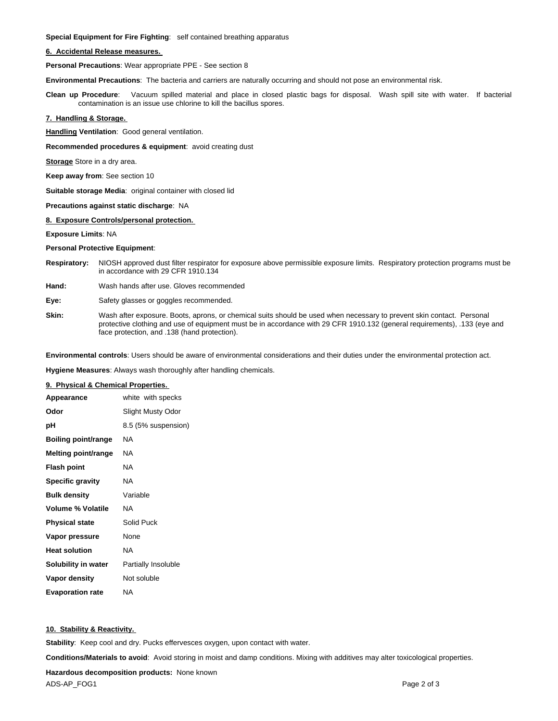**Special Equipment for Fire Fighting**: self contained breathing apparatus

### **6. Accidental Release measures.**

**Personal Precautions**: Wear appropriate PPE - See section 8

**Environmental Precautions**: The bacteria and carriers are naturally occurring and should not pose an environmental risk.

**Clean up Procedure**: Vacuum spilled material and place in closed plastic bags for disposal. Wash spill site with water. If bacterial contamination is an issue use chlorine to kill the bacillus spores.

# **7. Handling & Storage.**

**Handling Ventilation**: Good general ventilation.

**Recommended procedures & equipment**: avoid creating dust

**Storage** Store in a dry area.

**Keep away from**: See section 10

**Suitable storage Media**: original container with closed lid

#### **Precautions against static discharge**: NA

### **8. Exposure Controls/personal protection.**

**Exposure Limits**: NA

### **Personal Protective Equipment**:

- **Respiratory:** NIOSH approved dust filter respirator for exposure above permissible exposure limits. Respiratory protection programs must be in accordance with 29 CFR 1910.134
- **Hand:** Wash hands after use. Gloves recommended
- **Eye:** Safety glasses or goggles recommended.
- **Skin:** Wash after exposure. Boots, aprons, or chemical suits should be used when necessary to prevent skin contact. Personal protective clothing and use of equipment must be in accordance with 29 CFR 1910.132 (general requirements), .133 (eye and face protection, and .138 (hand protection).

**Environmental controls**: Users should be aware of environmental considerations and their duties under the environmental protection act.

**Hygiene Measures**: Always wash thoroughly after handling chemicals.

# **9. Physical & Chemical Properties.**

| Appearance                 | white with specks   |
|----------------------------|---------------------|
| Odor                       | Slight Musty Odor   |
| рH                         | 8.5 (5% suspension) |
| <b>Boiling point/range</b> | NA                  |
| <b>Melting point/range</b> | ΝA                  |
| <b>Flash point</b>         | ΝA                  |
| <b>Specific gravity</b>    | ΝA                  |
| <b>Bulk density</b>        | Variable            |
| <b>Volume % Volatile</b>   | ΝA                  |
| <b>Physical state</b>      | Solid Puck          |
| Vapor pressure             | None                |
| <b>Heat solution</b>       | NA                  |
| Solubility in water        | Partially Insoluble |
| Vapor density              | Not soluble         |
| <b>Evaporation rate</b>    | ΝA                  |

# **10. Stability & Reactivity.**

**Stability**: Keep cool and dry. Pucks effervesces oxygen, upon contact with water.

**Conditions/Materials to avoid**: Avoid storing in moist and damp conditions. Mixing with additives may alter toxicological properties.

**Hazardous decomposition products:** None known